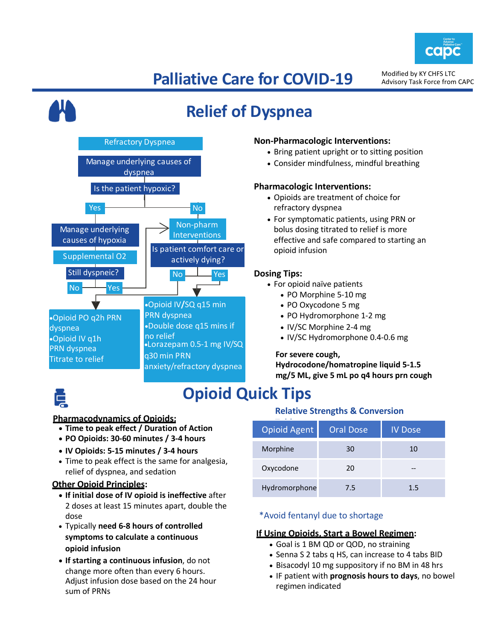

# **Palliative Care for COVID-19**

Modified by KY CHFS LTC Advisory Task Force from CAPC

# **Relief of Dyspnea**



#### **Non-Pharmacologic Interventions:**

- Bring patient upright or to sitting position
- Consider mindfulness, mindful breathing

#### **Pharmacologic Interventions:**

- Opioids are treatment of choice for refractory dyspnea
- For symptomatic patients, using PRN or bolus dosing titrated to relief is more effective and safe compared to starting an opioid infusion

#### **Dosing Tips:**

- For opioid naïve patients
	- PO Morphine 5-10 mg
	- PO Oxycodone 5 mg
	- PO Hydromorphone 1-2 mg
	- IV/SC Morphine 2-4 mg
	- IV/SC Hydromorphone 0.4-0.6 mg

#### **For severe cough,**

**Hydrocodone/homatropine liquid 5-1.5 mg/5 ML, give 5 mL po q4 hours prn cough**

## **Opioid Quick Tips**

### **Pharmacodynamics of Opioids:**

- **Time to peak effect / Duration of Action**
- **PO Opioids: 30-60 minutes / 3-4 hours**
- **IV Opioids: 5-15 minutes / 3-4 hours**
- Time to peak effect is the same for analgesia, relief of dyspnea, and sedation

#### **Other Opioid Principles:**

- **If initial dose of IV opioid is ineffective** after 2 doses at least 15 minutes apart, double the dose
- Typically **need 6-8 hours of controlled symptoms to calculate a continuous opioid infusion**
- **If starting a continuous infusion**, do not change more often than every 6 hours. Adjust infusion dose based on the 24 hour sum of PRNs

### **Relative Strengths & Conversion**

| <b>Opioid Agent</b> | <b>Oral Dose</b> | <b>IV Dose</b> |
|---------------------|------------------|----------------|
| Morphine            | 30               | 10             |
| Oxycodone           | 20               |                |
| Hydromorphone       | 7.5              | 15             |

### \*Avoid fentanyl due to shortage

#### **If Using Opioids, Start a Bowel Regimen:**

- Goal is 1 BM QD or QOD, no straining
- Senna S 2 tabs q HS, can increase to 4 tabs BID
- Bisacodyl 10 mg suppository if no BM in 48 hrs
- IF patient with **prognosis hours to days**, no bowel regimen indicated